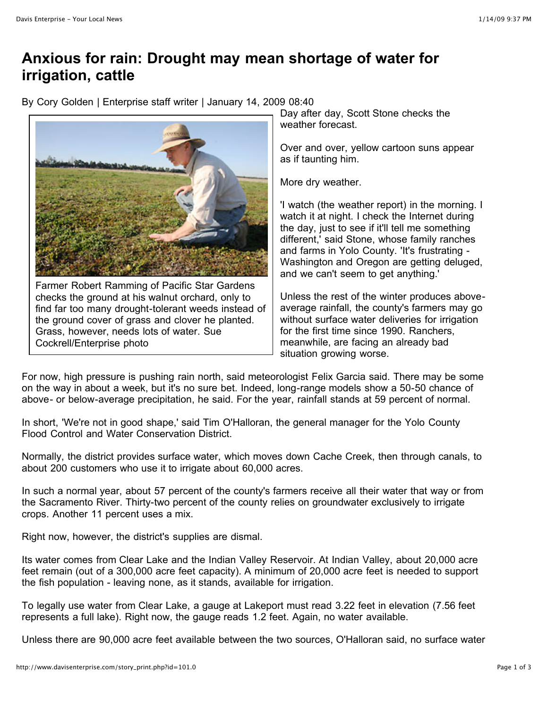## **Anxious for rain: Drought may mean shortage of water for irrigation, cattle**

By Cory Golden | Enterprise staff writer | January 14, 2009 08:40



Farmer Robert Ramming of Pacific Star Gardens checks the ground at his walnut orchard, only to find far too many drought-tolerant weeds instead of the ground cover of grass and clover he planted. Grass, however, needs lots of water. Sue Cockrell/Enterprise photo

Day after day, Scott Stone checks the weather forecast.

Over and over, yellow cartoon suns appear as if taunting him.

More dry weather.

'I watch (the weather report) in the morning. I watch it at night. I check the Internet during the day, just to see if it'll tell me something different,' said Stone, whose family ranches and farms in Yolo County. 'It's frustrating - Washington and Oregon are getting deluged, and we can't seem to get anything.'

Unless the rest of the winter produces aboveaverage rainfall, the county's farmers may go without surface water deliveries for irrigation for the first time since 1990. Ranchers, meanwhile, are facing an already bad situation growing worse.

For now, high pressure is pushing rain north, said meteorologist Felix Garcia said. There may be some on the way in about a week, but it's no sure bet. Indeed, long-range models show a 50-50 chance of above- or below-average precipitation, he said. For the year, rainfall stands at 59 percent of normal.

In short, 'We're not in good shape,' said Tim O'Halloran, the general manager for the Yolo County Flood Control and Water Conservation District.

Normally, the district provides surface water, which moves down Cache Creek, then through canals, to about 200 customers who use it to irrigate about 60,000 acres.

In such a normal year, about 57 percent of the county's farmers receive all their water that way or from the Sacramento River. Thirty-two percent of the county relies on groundwater exclusively to irrigate crops. Another 11 percent uses a mix.

Right now, however, the district's supplies are dismal.

Its water comes from Clear Lake and the Indian Valley Reservoir. At Indian Valley, about 20,000 acre feet remain (out of a 300,000 acre feet capacity). A minimum of 20,000 acre feet is needed to support the fish population - leaving none, as it stands, available for irrigation.

To legally use water from Clear Lake, a gauge at Lakeport must read 3.22 feet in elevation (7.56 feet represents a full lake). Right now, the gauge reads 1.2 feet. Again, no water available.

Unless there are 90,000 acre feet available between the two sources, O'Halloran said, no surface water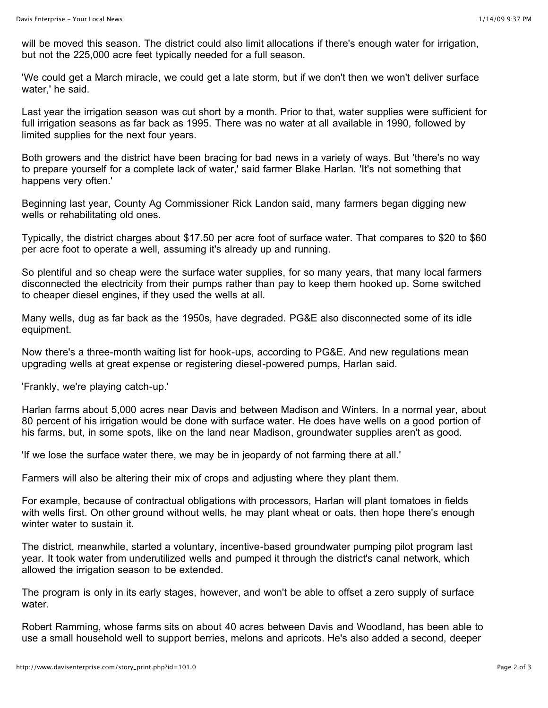will be moved this season. The district could also limit allocations if there's enough water for irrigation, but not the 225,000 acre feet typically needed for a full season.

'We could get a March miracle, we could get a late storm, but if we don't then we won't deliver surface water,' he said.

Last year the irrigation season was cut short by a month. Prior to that, water supplies were sufficient for full irrigation seasons as far back as 1995. There was no water at all available in 1990, followed by limited supplies for the next four years.

Both growers and the district have been bracing for bad news in a variety of ways. But 'there's no way to prepare yourself for a complete lack of water,' said farmer Blake Harlan. 'It's not something that happens very often.'

Beginning last year, County Ag Commissioner Rick Landon said, many farmers began digging new wells or rehabilitating old ones.

Typically, the district charges about \$17.50 per acre foot of surface water. That compares to \$20 to \$60 per acre foot to operate a well, assuming it's already up and running.

So plentiful and so cheap were the surface water supplies, for so many years, that many local farmers disconnected the electricity from their pumps rather than pay to keep them hooked up. Some switched to cheaper diesel engines, if they used the wells at all.

Many wells, dug as far back as the 1950s, have degraded. PG&E also disconnected some of its idle equipment.

Now there's a three-month waiting list for hook-ups, according to PG&E. And new regulations mean upgrading wells at great expense or registering diesel-powered pumps, Harlan said.

'Frankly, we're playing catch-up.'

Harlan farms about 5,000 acres near Davis and between Madison and Winters. In a normal year, about 80 percent of his irrigation would be done with surface water. He does have wells on a good portion of his farms, but, in some spots, like on the land near Madison, groundwater supplies aren't as good.

'If we lose the surface water there, we may be in jeopardy of not farming there at all.'

Farmers will also be altering their mix of crops and adjusting where they plant them.

For example, because of contractual obligations with processors, Harlan will plant tomatoes in fields with wells first. On other ground without wells, he may plant wheat or oats, then hope there's enough winter water to sustain it.

The district, meanwhile, started a voluntary, incentive-based groundwater pumping pilot program last year. It took water from underutilized wells and pumped it through the district's canal network, which allowed the irrigation season to be extended.

The program is only in its early stages, however, and won't be able to offset a zero supply of surface water.

Robert Ramming, whose farms sits on about 40 acres between Davis and Woodland, has been able to use a small household well to support berries, melons and apricots. He's also added a second, deeper